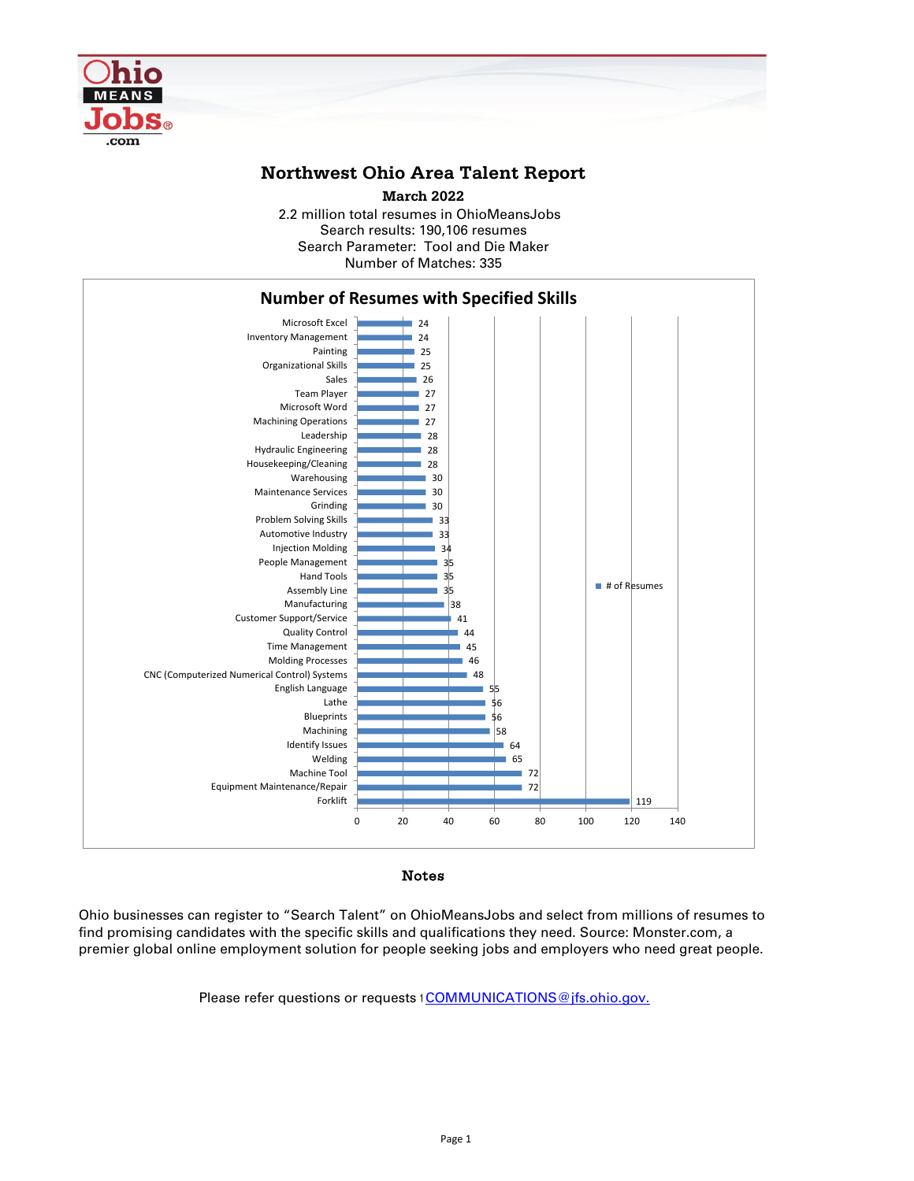

## **Northwest Ohio Area Talent Report**

2.2 million total resumes in OhioMeansJobs Search results: 190,106 resumes Number of Matches: 335 **March 2022** Search Parameter: Tool and Die Maker



Notes

Ohio businesses can register to "Search Talent" on OhioMeansJobs and select from millions of resumes to find promising candidates with the specific skills and qualifications they need. Source: Monster.com, a premier global online employment solution for people seeking jobs and employers who need great people.

Please refer questions or requests tCOMMUNICATIONS@jfs.ohio.gov.